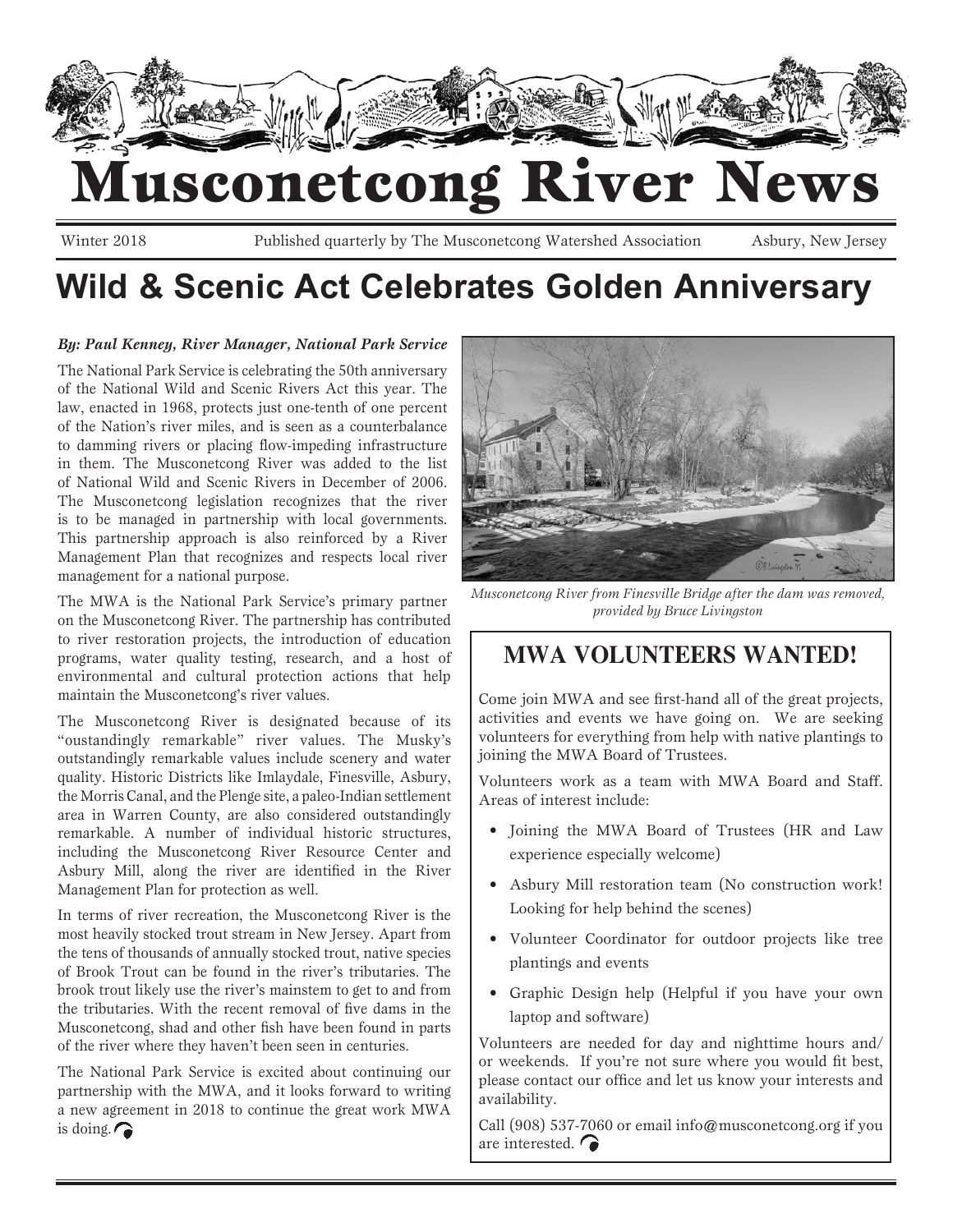

Winter 2018 Published quarterly by The Musconetcong Watershed Association Asbury, New Jersey

## **Wild & Scenic Act Celebrates Golden Anniversary**

#### *By: Paul Kenney, River Manager, National Park Service*

The National Park Service is celebrating the 50th anniversary of the National Wild and Scenic Rivers Act this year. The law, enacted in 1968, protects just one-tenth of one percent of the Nation's river miles, and is seen as a counterbalance to damming rivers or placing flow-impeding infrastructure in them. The Musconetcong River was added to the list of National Wild and Scenic Rivers in December of 2006. The Musconetcong legislation recognizes that the river is to be managed in partnership with local governments. This partnership approach is also reinforced by a River Management Plan that recognizes and respects local river management for a national purpose.

The MWA is the National Park Service's primary partner on the Musconetcong River. The partnership has contributed to river restoration projects, the introduction of education programs, water quality testing, research, and a host of environmental and cultural protection actions that help maintain the Musconetcong's river values.

The Musconetcong River is designated because of its "oustandingly remarkable" river values. The Musky's outstandingly remarkable values include scenery and water quality. Historic Districts like Imlaydale, Finesville, Asbury, the Morris Canal, and the Plenge site, a paleo-Indian settlement area in Warren County, are also considered outstandingly remarkable. A number of individual historic structures, including the Musconetcong River Resource Center and Asbury Mill, along the river are identified in the River Management Plan for protection as well.

In terms of river recreation, the Musconetcong River is the most heavily stocked trout stream in New Jersey. Apart from the tens of thousands of annually stocked trout, native species of Brook Trout can be found in the river's tributaries. The brook trout likely use the river's mainstem to get to and from the tributaries. With the recent removal of five dams in the Musconetcong, shad and other fish have been found in parts of the river where they haven't been seen in centuries.

The National Park Service is excited about continuing our partnership with the MWA, and it looks forward to writing a new agreement in 2018 to continue the great work MWA is doing.



*Musconetcong River from Finesville Bridge after the dam was removed, provided by Bruce Livingston*

### **MWA VOLUNTEERS WANTED!**

Come join MWA and see first-hand all of the great projects, activities and events we have going on. We are seeking volunteers for everything from help with native plantings to joining the MWA Board of Trustees.

Volunteers work as a team with MWA Board and Staff. Areas of interest include:

- Joining the MWA Board of Trustees (HR and Law experience especially welcome)
- Asbury Mill restoration team (No construction work! Looking for help behind the scenes)
- Volunteer Coordinator for outdoor projects like tree plantings and events
- Graphic Design help (Helpful if you have your own laptop and software)

Volunteers are needed for day and nighttime hours and/ or weekends. If you're not sure where you would fit best, please contact our office and let us know your interests and availability.

Call (908) 537-7060 or email info@musconetcong.org if you are interested.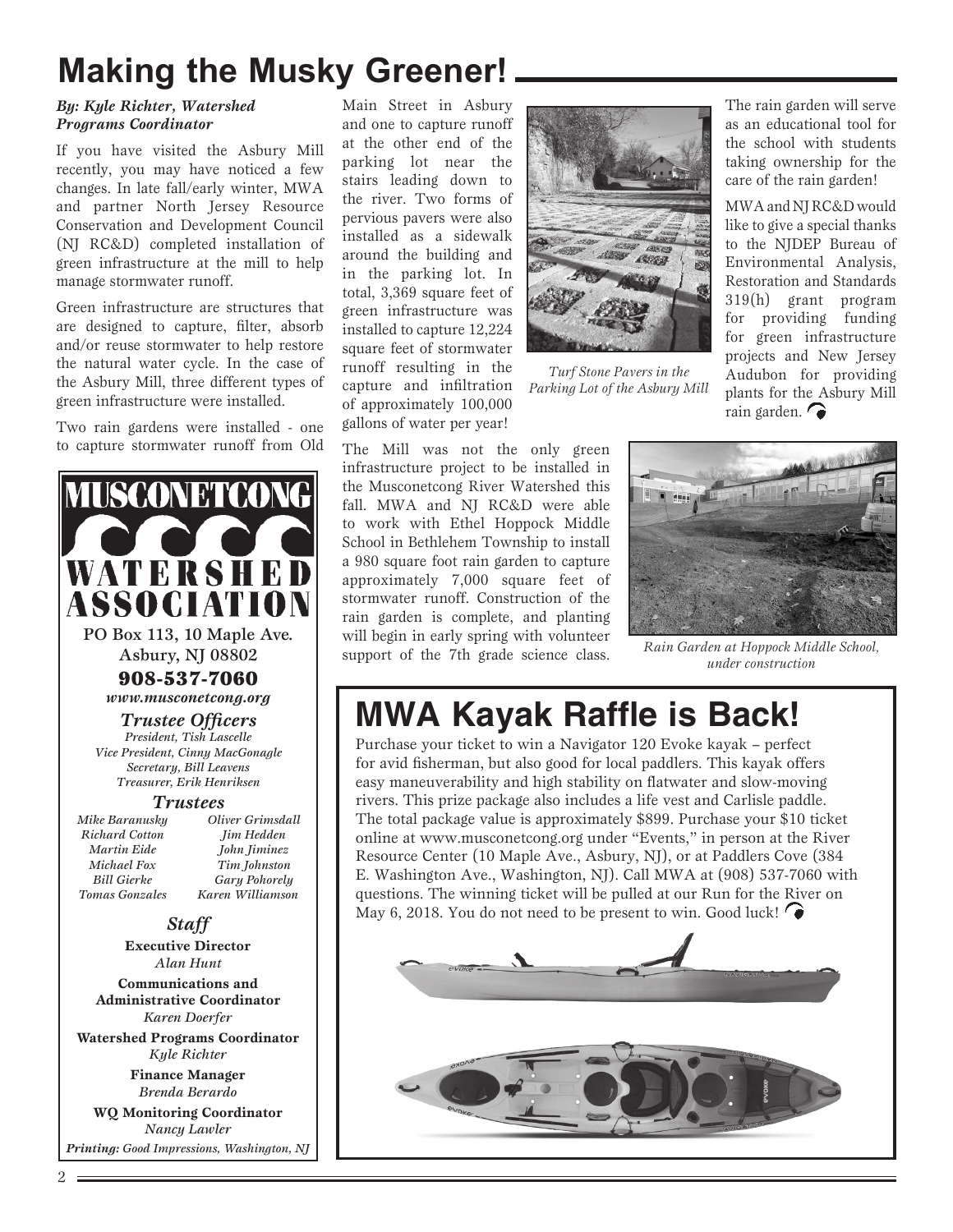## **Making the Musky Greener!**

#### *By: Kyle Richter, Watershed Programs Coordinator*

If you have visited the Asbury Mill recently, you may have noticed a few changes. In late fall/early winter, MWA and partner North Jersey Resource Conservation and Development Council (NJ RC&D) completed installation of green infrastructure at the mill to help manage stormwater runoff.

Green infrastructure are structures that are designed to capture, filter, absorb and/or reuse stormwater to help restore the natural water cycle. In the case of the Asbury Mill, three different types of green infrastructure were installed.

Two rain gardens were installed - one to capture stormwater runoff from Old



PO Box 113, 10 Maple Ave. Asbury, NJ 08802

> 908-537-7060 *www.musconetcong.org*

#### *Trustee Officers*

*President, Tish Lascelle Vice President, Cinny MacGonagle Secretary, Bill Leavens Treasurer, Erik Henriksen*

#### *Trustees*

*Oliver Grimsdall Jim Hedden John Jiminez Tim Johnston Gary Pohorely Karen Williamson*

*Mike Baranusky Richard Cotton Martin Eide Michael Fox Bill Gierke Tomas Gonzales*

#### *Staff*

**Executive Director** *Alan Hunt*

**Communications and Administrative Coordinator** *Karen Doerfer*

**Watershed Programs Coordinator** *Kyle Richter*

> **Finance Manager** *Brenda Berardo*

**WQ Monitoring Coordinator** *Nancy Lawler*

*Printing: Good Impressions, Washington, NJ*

Main Street in Asbury and one to capture runoff at the other end of the parking lot near the stairs leading down to the river. Two forms of pervious pavers were also installed as a sidewalk around the building and in the parking lot. In total, 3,369 square feet of green infrastructure was installed to capture 12,224 square feet of stormwater runoff resulting in the capture and infiltration of approximately 100,000 gallons of water per year!



*Turf Stone Pavers in the Parking Lot of the Asbury Mill*

The rain garden will serve as an educational tool for the school with students taking ownership for the care of the rain garden!

MWA and NJ RC&D would like to give a special thanks to the NJDEP Bureau of Environmental Analysis, Restoration and Standards 319(h) grant program for providing funding for green infrastructure projects and New Jersey Audubon for providing plants for the Asbury Mill rain garden.

The Mill was not the only green infrastructure project to be installed in the Musconetcong River Watershed this fall. MWA and NJ RC&D were able to work with Ethel Hoppock Middle School in Bethlehem Township to install a 980 square foot rain garden to capture approximately 7,000 square feet of stormwater runoff. Construction of the rain garden is complete, and planting will begin in early spring with volunteer support of the 7th grade science class.



*Rain Garden at Hoppock Middle School, under construction*

## **MWA Kayak Raffle is Back!**

Purchase your ticket to win a Navigator 120 Evoke kayak – perfect for avid fisherman, but also good for local paddlers. This kayak offers easy maneuverability and high stability on flatwater and slow-moving rivers. This prize package also includes a life vest and Carlisle paddle. The total package value is approximately \$899. Purchase your \$10 ticket online at www.musconetcong.org under "Events," in person at the River Resource Center (10 Maple Ave., Asbury, NJ), or at Paddlers Cove (384 E. Washington Ave., Washington, NJ). Call MWA at (908) 537-7060 with questions. The winning ticket will be pulled at our Run for the River on May 6, 2018. You do not need to be present to win. Good luck!



2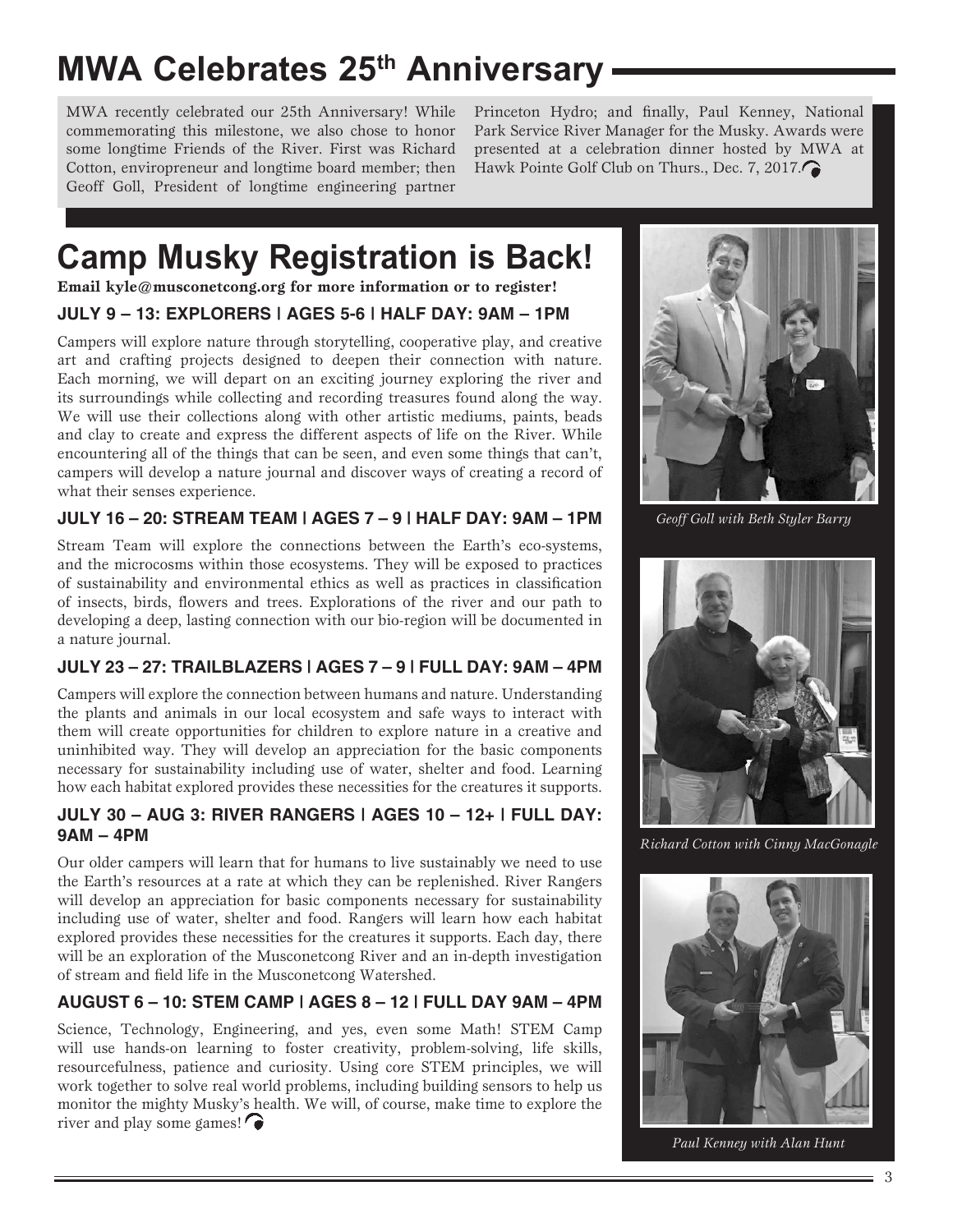## **MWA Celebrates 25th Anniversary**

MWA recently celebrated our 25th Anniversary! While commemorating this milestone, we also chose to honor some longtime Friends of the River. First was Richard Cotton, enviropreneur and longtime board member; then Geoff Goll, President of longtime engineering partner

Princeton Hydro; and finally, Paul Kenney, National Park Service River Manager for the Musky. Awards were presented at a celebration dinner hosted by MWA at Hawk Pointe Golf Club on Thurs., Dec. 7, 2017.

# **Camp Musky Registration is Back!**

**Email kyle@musconetcong.org for more information or to register!**

#### **JULY 9 – 13: EXPLORERS | AGES 5-6 | HALF DAY: 9AM – 1PM**

Campers will explore nature through storytelling, cooperative play, and creative art and crafting projects designed to deepen their connection with nature. Each morning, we will depart on an exciting journey exploring the river and its surroundings while collecting and recording treasures found along the way. We will use their collections along with other artistic mediums, paints, beads and clay to create and express the different aspects of life on the River. While encountering all of the things that can be seen, and even some things that can't, campers will develop a nature journal and discover ways of creating a record of what their senses experience.

#### **JULY 16 – 20: STREAM TEAM | AGES 7 – 9 | HALF DAY: 9AM – 1PM**

Stream Team will explore the connections between the Earth's eco-systems, and the microcosms within those ecosystems. They will be exposed to practices of sustainability and environmental ethics as well as practices in classification of insects, birds, flowers and trees. Explorations of the river and our path to developing a deep, lasting connection with our bio-region will be documented in a nature journal.

#### **JULY 23 – 27: TRAILBLAZERS | AGES 7 – 9 | FULL DAY: 9AM – 4PM**

Campers will explore the connection between humans and nature. Understanding the plants and animals in our local ecosystem and safe ways to interact with them will create opportunities for children to explore nature in a creative and uninhibited way. They will develop an appreciation for the basic components necessary for sustainability including use of water, shelter and food. Learning how each habitat explored provides these necessities for the creatures it supports.

#### **JULY 30 – AUG 3: RIVER RANGERS | AGES 10 – 12+ | FULL DAY: 9AM – 4PM**

Our older campers will learn that for humans to live sustainably we need to use the Earth's resources at a rate at which they can be replenished. River Rangers will develop an appreciation for basic components necessary for sustainability including use of water, shelter and food. Rangers will learn how each habitat explored provides these necessities for the creatures it supports. Each day, there will be an exploration of the Musconetcong River and an in-depth investigation of stream and field life in the Musconetcong Watershed.

#### **AUGUST 6 – 10: STEM CAMP | AGES 8 – 12 | FULL DAY 9AM – 4PM**

Science, Technology, Engineering, and yes, even some Math! STEM Camp will use hands-on learning to foster creativity, problem-solving, life skills, resourcefulness, patience and curiosity. Using core STEM principles, we will work together to solve real world problems, including building sensors to help us monitor the mighty Musky's health. We will, of course, make time to explore the river and play some games!



*Geoff Goll with Beth Styler Barry*



*Richard Cotton with Cinny MacGonagle*



*Paul Kenney with Alan Hunt*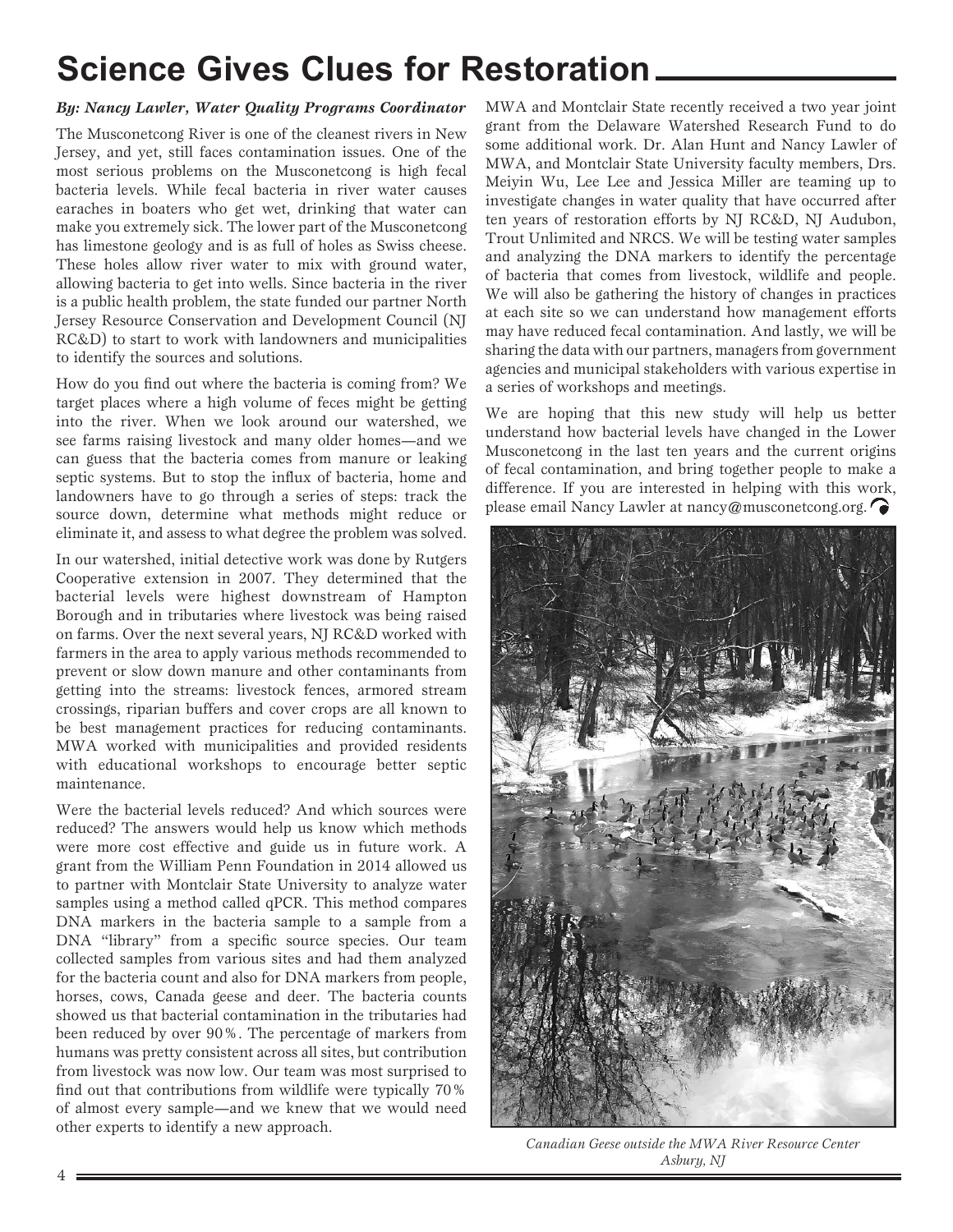## **Science Gives Clues for Restoration**

#### *By: Nancy Lawler, Water Quality Programs Coordinator*

The Musconetcong River is one of the cleanest rivers in New Jersey, and yet, still faces contamination issues. One of the most serious problems on the Musconetcong is high fecal bacteria levels. While fecal bacteria in river water causes earaches in boaters who get wet, drinking that water can make you extremely sick. The lower part of the Musconetcong has limestone geology and is as full of holes as Swiss cheese. These holes allow river water to mix with ground water, allowing bacteria to get into wells. Since bacteria in the river is a public health problem, the state funded our partner North Jersey Resource Conservation and Development Council (NJ RC&D) to start to work with landowners and municipalities to identify the sources and solutions.

How do you find out where the bacteria is coming from? We target places where a high volume of feces might be getting into the river. When we look around our watershed, we see farms raising livestock and many older homes—and we can guess that the bacteria comes from manure or leaking septic systems. But to stop the influx of bacteria, home and landowners have to go through a series of steps: track the source down, determine what methods might reduce or eliminate it, and assess to what degree the problem was solved.

In our watershed, initial detective work was done by Rutgers Cooperative extension in 2007. They determined that the bacterial levels were highest downstream of Hampton Borough and in tributaries where livestock was being raised on farms. Over the next several years, NJ RC&D worked with farmers in the area to apply various methods recommended to prevent or slow down manure and other contaminants from getting into the streams: livestock fences, armored stream crossings, riparian buffers and cover crops are all known to be best management practices for reducing contaminants. MWA worked with municipalities and provided residents with educational workshops to encourage better septic maintenance.

Were the bacterial levels reduced? And which sources were reduced? The answers would help us know which methods were more cost effective and guide us in future work. A grant from the William Penn Foundation in 2014 allowed us to partner with Montclair State University to analyze water samples using a method called qPCR. This method compares DNA markers in the bacteria sample to a sample from a DNA "library" from a specific source species. Our team collected samples from various sites and had them analyzed for the bacteria count and also for DNA markers from people, horses, cows, Canada geese and deer. The bacteria counts showed us that bacterial contamination in the tributaries had been reduced by over 90%. The percentage of markers from humans was pretty consistent across all sites, but contribution from livestock was now low. Our team was most surprised to find out that contributions from wildlife were typically 70% of almost every sample—and we knew that we would need other experts to identify a new approach.

MWA and Montclair State recently received a two year joint grant from the Delaware Watershed Research Fund to do some additional work. Dr. Alan Hunt and Nancy Lawler of MWA, and Montclair State University faculty members, Drs. Meiyin Wu, Lee Lee and Jessica Miller are teaming up to investigate changes in water quality that have occurred after ten years of restoration efforts by NJ RC&D, NJ Audubon, Trout Unlimited and NRCS. We will be testing water samples and analyzing the DNA markers to identify the percentage of bacteria that comes from livestock, wildlife and people. We will also be gathering the history of changes in practices at each site so we can understand how management efforts may have reduced fecal contamination. And lastly, we will be sharing the data with our partners, managers from government agencies and municipal stakeholders with various expertise in a series of workshops and meetings.

We are hoping that this new study will help us better understand how bacterial levels have changed in the Lower Musconetcong in the last ten years and the current origins of fecal contamination, and bring together people to make a difference. If you are interested in helping with this work, please email Nancy Lawler at nancy@musconetcong.org.



*Canadian Geese outside the MWA River Resource Center Asbury, NJ*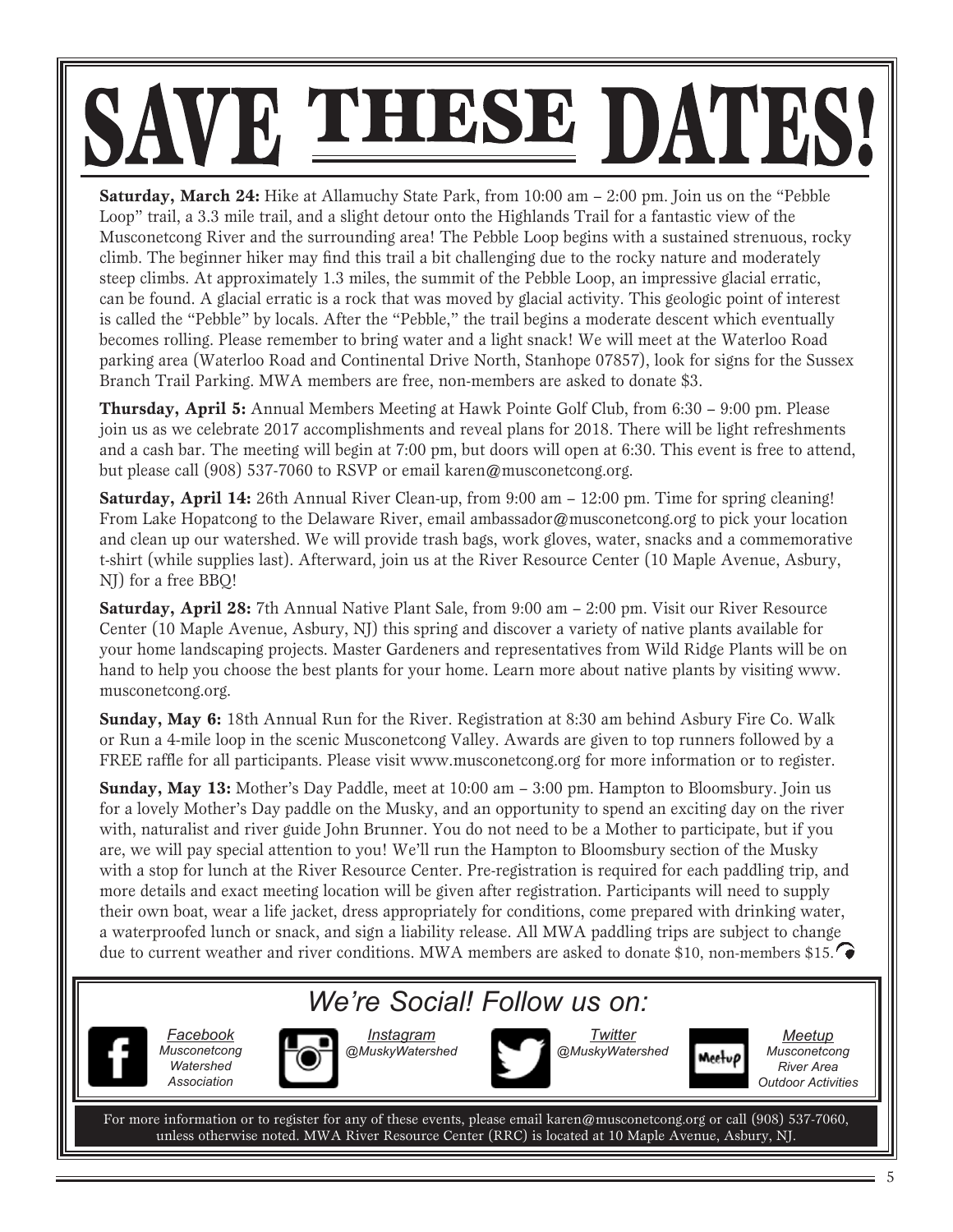# SAVE THESE DATES

**Saturday, March 24:** Hike at Allamuchy State Park, from 10:00 am – 2:00 pm. Join us on the "Pebble" Loop" trail, a 3.3 mile trail, and a slight detour onto the Highlands Trail for a fantastic view of the Musconetcong River and the surrounding area! The Pebble Loop begins with a sustained strenuous, rocky climb. The beginner hiker may find this trail a bit challenging due to the rocky nature and moderately steep climbs. At approximately 1.3 miles, the summit of the Pebble Loop, an impressive glacial erratic, can be found. A glacial erratic is a rock that was moved by glacial activity. This geologic point of interest is called the "Pebble" by locals. After the "Pebble," the trail begins a moderate descent which eventually becomes rolling. Please remember to bring water and a light snack! We will meet at the Waterloo Road parking area (Waterloo Road and Continental Drive North, Stanhope 07857), look for signs for the Sussex Branch Trail Parking. MWA members are free, non-members are asked to donate \$3.

**Thursday, April 5:** Annual Members Meeting at Hawk Pointe Golf Club, from 6:30 – 9:00 pm. Please join us as we celebrate 2017 accomplishments and reveal plans for 2018. There will be light refreshments and a cash bar. The meeting will begin at 7:00 pm, but doors will open at 6:30. This event is free to attend, but please call (908) 537-7060 to RSVP or email karen@musconetcong.org.

**Saturday, April 14:** 26th Annual River Clean-up, from 9:00 am – 12:00 pm. Time for spring cleaning! From Lake Hopatcong to the Delaware River, email ambassador@musconetcong.org to pick your location and clean up our watershed. We will provide trash bags, work gloves, water, snacks and a commemorative t-shirt (while supplies last). Afterward, join us at the River Resource Center (10 Maple Avenue, Asbury, NJ) for a free BBQ!

**Saturday, April 28:** 7th Annual Native Plant Sale, from 9:00 am – 2:00 pm. Visit our River Resource Center (10 Maple Avenue, Asbury, NJ) this spring and discover a variety of native plants available for your home landscaping projects. Master Gardeners and representatives from Wild Ridge Plants will be on hand to help you choose the best plants for your home. Learn more about native plants by visiting www. musconetcong.org.

**Sunday, May 6:** 18th Annual Run for the River. Registration at 8:30 am behind Asbury Fire Co. Walk or Run a 4-mile loop in the scenic Musconetcong Valley. Awards are given to top runners followed by a FREE raffle for all participants. Please visit www.musconetcong.org for more information or to register.

**Sunday, May 13:** Mother's Day Paddle, meet at 10:00 am – 3:00 pm. Hampton to Bloomsbury. Join us for a lovely Mother's Day paddle on the Musky, and an opportunity to spend an exciting day on the river with, naturalist and river guide John Brunner. You do not need to be a Mother to participate, but if you are, we will pay special attention to you! We'll run the Hampton to Bloomsbury section of the Musky with a stop for lunch at the River Resource Center. Pre-registration is required for each paddling trip, and more details and exact meeting location will be given after registration. Participants will need to supply their own boat, wear a life jacket, dress appropriately for conditions, come prepared with drinking water, a waterproofed lunch or snack, and sign a liability release. All MWA paddling trips are subject to change due to current weather and river conditions. MWA members are asked to donate \$10, non-members \$15.